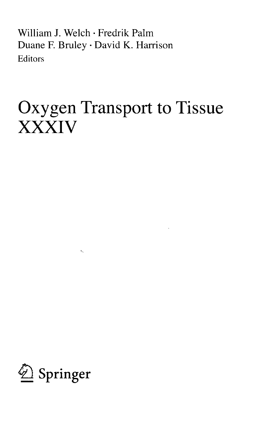William J. Welch • Fredrik Palm Duane F. Bruley • David K. Harrison Editors

## Oxygen Transport to Tissue XXXIV



 $\sigma_{\gamma}$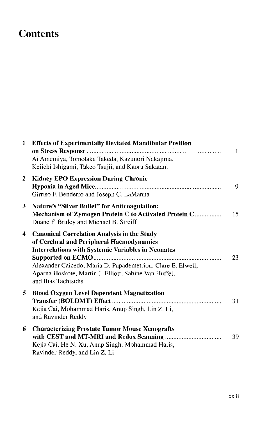## **Contents**

| $\mathbf{1}$ | <b>Effects of Experimentally Deviated Mandibular Position</b><br>Ai Amemiya, Tomotaka Takeda, Kazunori Nakajima,<br>Keiichi Ishigami, Takeo Tsujii, and Kaoru Sakatani                                                                                                                                      | -1 |
|--------------|-------------------------------------------------------------------------------------------------------------------------------------------------------------------------------------------------------------------------------------------------------------------------------------------------------------|----|
| $\mathbf{2}$ | <b>Kidney EPO Expression During Chronic</b><br>Girriso F. Benderro and Joseph C. LaManna                                                                                                                                                                                                                    | 9  |
| 3            | <b>Nature's "Silver Bullet" for Anticoagulation:</b><br>Mechanism of Zymogen Protein C to Activated Protein C<br>Duane F. Bruley and Michael B. Streiff                                                                                                                                                     | 15 |
| 4            | <b>Canonical Correlation Analysis in the Study</b><br>of Cerebral and Peripheral Haemodynamics<br><b>Interrelations with Systemic Variables in Neonates</b><br>Alexander Caicedo, Maria D. Papademetriou, Clare E. Elwell,<br>Aparna Hoskote, Martin J. Elliott. Sabine Van Huffel,<br>and Ilias Tachtsidis | 23 |
| 5            | <b>Blood Oxygen Level Dependent Magnetization</b><br>Kejia Cai, Mohammad Haris, Anup Singh, Lin Z. Li,<br>and Ravinder Reddy                                                                                                                                                                                | 31 |
| 6            | <b>Characterizing Prostate Tumor Mouse Xenografts</b><br>Kejia Cai, He N. Xu, Anup Singh. Mohammad Haris,<br>Ravinder Reddy, and Lin Z. Li                                                                                                                                                                  | 39 |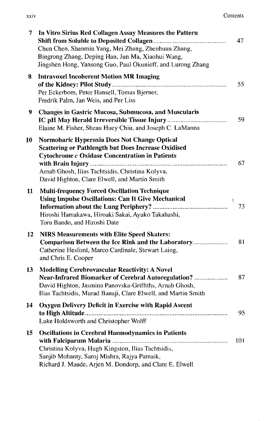| 7  | In Vitro Sirius Red Collagen Assay Measures the Pattern<br>Chun Chen, Shanmin Yang, Mei Zhang, Zhenhuan Zhang,<br>Bingrong Zhang, Deping Han, Jun Ma, Xiaohui Wang,<br>Jingshen Hong, Yansong Guo, Paul Okunieff, and Lurong Zhang                                       | 47       |
|----|--------------------------------------------------------------------------------------------------------------------------------------------------------------------------------------------------------------------------------------------------------------------------|----------|
| 8  | <b>Intravoxel Incoherent Motion MR Imaging</b><br>Per Eckerbom, Peter Hansell, Tomas Bjerner,<br>Fredrik Palm, Jan Weis, and Per Liss                                                                                                                                    | 55       |
| 9  | <b>Changes in Gastric Mucosa, Submucosa, and Muscularis</b><br>Elaine M. Fisher, Sheau Huey Chiu, and Joseph C. LaManna                                                                                                                                                  | 59       |
| 10 | Normobaric Hyperoxia Does Not Change Optical<br><b>Scattering or Pathlength but Does Increase Oxidised</b><br><b>Cytochrome c Oxidase Concentration in Patients</b><br>Arnab Ghosh, Ilias Tachtsidis, Christina Kolyva,<br>David Highton, Clare Elwell, and Martin Smith | 67       |
| 11 | Multi-frequency Forced Oscillation Technique<br><b>Using Impulse Oscillations: Can It Give Mechanical</b><br>Hiroshi Hamakawa, Hiroaki Sakai, Ayuko Takahashi,<br>Toru Bando, and Hiroshi Date                                                                           | ξ.<br>73 |
| 12 | <b>NIRS Measurements with Elite Speed Skaters:</b><br>Comparison Between the Ice Rink and the Laboratory<br>Catherine Hesford, Marco Cardinale, Stewart Laing,<br>and Chris E. Cooper                                                                                    | 81       |
| 13 | <b>Modelling Cerebrovascular Reactivity: A Novel</b><br>Near-Infrared Biomarker of Cerebral Autoregulation?<br>David Highton, Jasmina Panovska-Griffiths, Arnab Ghosh,<br>Ilias Tachtsidis, Murad Banaji, Clare Elwell, and Martin Smith                                 | 87       |
| 14 | Oxygen Delivery Deficit in Exercise with Rapid Ascent<br>Luke Holdsworth and Christopher Wolff                                                                                                                                                                           | 95       |
| 15 | <b>Oscillations in Cerebral Haemodynamics in Patients</b><br>Christina Kolyva, Hugh Kingston, Ilias Tachtsidis,<br>Sanjib Mohanty, Saroj Mishra, Rajya Patnaik,<br>Richard J. Maude, Arjen M. Dondorp, and Clare E. Elwell                                               | 101      |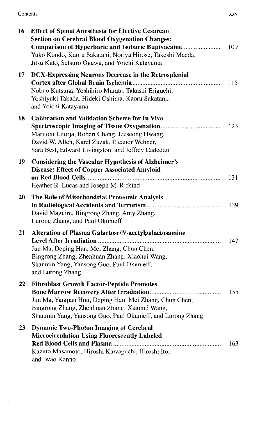Contents xxv

 $\sim 10^{-10}$ 

| 16 | <b>Effect of Spinal Anesthesia for Elective Cesarean</b><br><b>Section on Cerebral Blood Oxygenation Changes:</b><br>Comparison of Hyperbaric and Isobaric Bupivacaine<br>Yuko Kondo, Kaoru Sakatani, Noriya Hirose, Takeshi Maeda,<br>Jitsu Kato, Setsuro Ogawa, and Yoichi Katayama | 109 |
|----|---------------------------------------------------------------------------------------------------------------------------------------------------------------------------------------------------------------------------------------------------------------------------------------|-----|
| 17 | <b>DCX-Expressing Neurons Decrease in the Retrosplenial</b><br>Nobuo Kutsuna, Yoshihiro Murata, Takashi Eriguchi,<br>Yoshiyuki Takada, Hideki Oshima, Kaoru Sakatani,<br>and Yoichi Katayama                                                                                          | 115 |
| 18 | <b>Calibration and Validation Scheme for In Vivo</b><br>Maritoni Litorja, Robert Chang, Jeeseong Hwang,<br>David W. Allen, Karel Zuzak, Eleanor Wehner,<br>Sara Best, Edward Livingston, and Jeffrey Cadeddu                                                                          | 123 |
| 19 | <b>Considering the Vascular Hypothesis of Alzheimer's</b><br><b>Disease: Effect of Copper Associated Amyloid</b><br>Heather R. Lucas and Joseph M. Rifkind                                                                                                                            | 131 |
| 20 | The Role of Mitochondrial Proteomic Analysis<br>David Maguire, Bingrong Zhang, Amy Zhang,<br>Lurong Zhang, and Paul Okunieff                                                                                                                                                          | 139 |
| 21 | Alteration of Plasma Galactose/N-acetylgalactosamine<br>Jun Ma, Deping Han, Mei Zhang, Chun Chen,<br>Bingrong Zhang, Zhenhuan Zhang, Xiaohui Wang,<br>Shanmin Yang, Yansong Guo, Paul Okunieff,<br>and Lurong Zhang                                                                   | 147 |
| 22 | <b>Fibroblast Growth Factor-Peptide Promotes</b><br>Jun Ma, Yanqian Hou, Deping Han, Mei Zhang, Chun Chen,<br>Bingrong Zhang, Zhenhuan Zhang, Xiaohui Wang,<br>Shanmin Yang, Yansong Guo, Paul Okunieff, and Lurong Zhang                                                             | 155 |
| 23 | <b>Dynamic Two-Photon Imaging of Cerebral</b><br><b>Microcirculation Using Fluorescently Labeled</b><br>Kazuto Masamoto, Hiroshi Kawaguchi, Hiroshi Ito,<br>and Iwao Kanno                                                                                                            | 163 |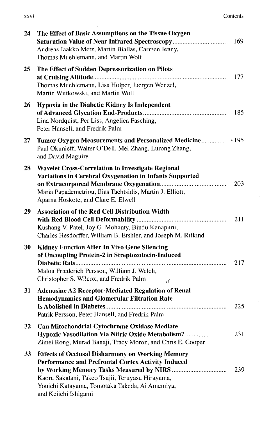| <b>XXVI</b> | Contents |
|-------------|----------|
|             |          |

 $\alpha_{\rm eff}$ 

 $\mathbf{u}$  .

 $\frac{1}{2}$ 

|  | ۰, |
|--|----|

| 24 | The Effect of Basic Assumptions on the Tissue Oxygen<br>Saturation Value of Near Infrared Spectroscopy<br>Andreas Jaakko Metz, Martin Biallas, Carmen Jenny,<br>Thomas Muehlemann, and Martin Wolf                                                 | 169 |
|----|----------------------------------------------------------------------------------------------------------------------------------------------------------------------------------------------------------------------------------------------------|-----|
| 25 | The Effect of Sudden Depressurization on Pilots<br>Thomas Muehlemann, Lisa Holper, Juergen Wenzel,<br>Martin Wittkowski, and Martin Wolf                                                                                                           | 177 |
| 26 | Hypoxia in the Diabetic Kidney Is Independent<br>Lina Nordquist, Per Liss, Angelica Fasching,<br>Peter Hansell, and Fredrik Palm                                                                                                                   | 185 |
| 27 | Tumor Oxygen Measurements and Personalized Medicine > 195<br>Paul Okunieff, Walter O'Dell, Mei Zhang, Lurong Zhang,<br>and David Maguire                                                                                                           |     |
| 28 | <b>Wavelet Cross-Correlation to Investigate Regional</b><br>Variations in Cerebral Oxygenation in Infants Supported<br>Maria Papademetriou, Ilias Tachtsidis, Martin J. Elliott,<br>Aparna Hoskote, and Clare E. Elwell                            | 203 |
| 29 | <b>Association of the Red Cell Distribution Width</b><br>Kushang V. Patel, Joy G. Mohanty, Bindu Kanapuru,<br>Charles Hesdorffer, William B. Ershler, and Joseph M. Rifkind                                                                        | 211 |
| 30 | <b>Kidney Function After In Vivo Gene Silencing</b><br>of Uncoupling Protein-2 in Streptozotocin-Induced<br>Malou Friederich Persson, William J. Welch,<br>Christopher S. Wilcox, and Fredrik Palm<br>کی                                           | 217 |
| 31 | <b>Adenosine A2 Receptor-Mediated Regulation of Renal</b><br><b>Hemodynamics and Glomerular Filtration Rate</b><br>Patrik Persson, Peter Hansell, and Fredrik Palm                                                                                 | 225 |
| 32 | <b>Can Mitochondrial Cytochrome Oxidase Mediate</b><br>Hypoxic Vasodilation Via Nitric Oxide Metabolism?<br>Zimei Rong, Murad Banaji, Tracy Moroz, and Chris E. Cooper                                                                             | 231 |
| 33 | <b>Effects of Occlusal Disharmony on Working Memory</b><br><b>Performance and Prefrontal Cortex Activity Induced</b><br>Kaoru Sakatani, Takeo Tsujii, Teruyasu Hirayama,<br>Youichi Katayama, Tomotaka Takeda, Ai Amemiya,<br>and Keiichi Ishigami | 239 |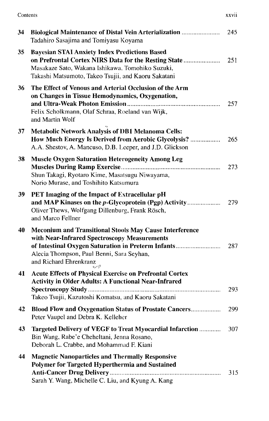| XXVII |
|-------|
|       |

| ۰ | --- | - | - |
|---|-----|---|---|

| 34 | Biological Maintenance of Distal Vein Arterialization<br>Tadahiro Sasajima and Tomiyasu Koyama                                                                                                                                                   | 245 |
|----|--------------------------------------------------------------------------------------------------------------------------------------------------------------------------------------------------------------------------------------------------|-----|
| 35 | <b>Bayesian STAI Anxiety Index Predictions Based</b><br>on Prefrontal Cortex NIRS Data for the Resting State<br>Masakaze Sato, Wakana Ishikawa. Tomohiko Suzuki,<br>Takashi Matsumoto, Takeo Tsujii, and Kaoru Sakatani                          | 251 |
| 36 | The Effect of Venous and Arterial Occlusion of the Arm<br>on Changes in Tissue Hemodynamics, Oxygenation,<br>Felix Scholkmann, Olaf Schraa, Roeland van Wijk,<br>and Martin Wolf                                                                 | 257 |
| 37 | <b>Metabolic Network Analysis of DB1 Melanoma Cells:</b><br>How Much Energy Is Derived from Aerobic Glycolysis?<br>A.A. Shestov, A. Mancuso, D.B. Leeper, and J.D. Glickson                                                                      | 265 |
| 38 | <b>Muscle Oxygen Saturation Heterogeneity Among Leg</b><br>Shun Takagi, Ryotaro Kime, Masatsugu Niwayama,<br>Norio Murase, and Toshihito Katsumura                                                                                               | 273 |
| 39 | PET Imaging of the Impact of Extracellular pH<br>and MAP Kinases on the p-Glycoprotein (Pgp) Activity<br>Oliver Thews, Wolfgang Dillenburg, Frank Rösch,<br>and Marco Fellner                                                                    | 279 |
| 40 | <b>Meconium and Transitional Stools May Cause Interference</b><br>with Near-Infrared Spectroscopy Measurements<br>of Intestinal Oxygen Saturation in Preterm Infants<br>Alecia Thompson, Paul Benni, Sara Seyhan,<br>and Richard Ehrenkranz<br>S | 287 |
| 41 | <b>Acute Effects of Physical Exercise on Prefrontal Cortex</b><br><b>Activity in Older Adults: A Functional Near-Infrared</b><br>Takeo Tsujii, Kazutoshi Komatsu, and Kaoru Sakatani                                                             | 293 |
| 42 | Blood Flow and Oxygenation Status of Prostate Cancers<br>Peter Vaupel and Debra K. Kelleher                                                                                                                                                      | 299 |
| 43 | Targeted Delivery of VEGF to Treat Myocardial Infarction<br>Bin Wang, Rabe'e Cheheltani, Jenna Rosano,<br>Deborah L. Crabbe, and Mohammad F. Kiani                                                                                               | 307 |
| 44 | <b>Magnetic Nanoparticles and Thermally Responsive</b><br>Polymer for Targeted Hyperthermia and Sustained<br>Sarah Y. Wang, Michelle C. Liu, and Kyung A. Kang                                                                                   | 315 |